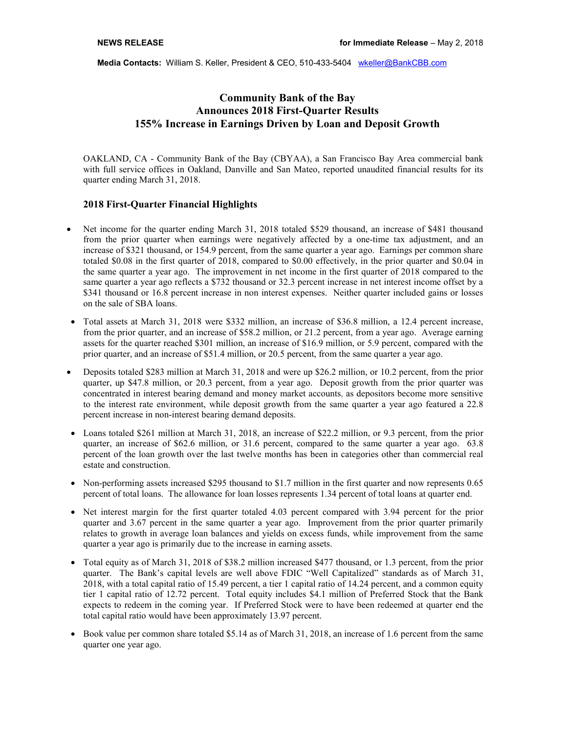**Media Contacts: William S. Keller, President & CEO, 510-433-5404** wkeller@BankCBB.com

## **Community Bank of the Bay Announces 2018 First-Quarter Results 155% Increase in Earnings Driven by Loan and Deposit Growth**

OAKLAND, CA - Community Bank of the Bay (CBYAA), a San Francisco Bay Area commercial bank with full service offices in Oakland, Danville and San Mateo, reported unaudited financial results for its quarter ending March 31, 2018.

## **2018 First-Quarter Financial Highlights**

- Net income for the quarter ending March 31, 2018 totaled \$529 thousand, an increase of \$481 thousand from the prior quarter when earnings were negatively affected by a one-time tax adjustment, and an increase of \$321 thousand, or 154.9 percent, from the same quarter a year ago. Earnings per common share totaled \$0.08 in the first quarter of 2018, compared to \$0.00 effectively, in the prior quarter and \$0.04 in the same quarter a year ago. The improvement in net income in the first quarter of 2018 compared to the same quarter a year ago reflects a \$732 thousand or 32.3 percent increase in net interest income offset by a \$341 thousand or 16.8 percent increase in non interest expenses. Neither quarter included gains or losses on the sale of SBA loans.
- Total assets at March 31, 2018 were \$332 million, an increase of \$36.8 million, a 12.4 percent increase, from the prior quarter, and an increase of \$58.2 million, or 21.2 percent, from a year ago. Average earning assets for the quarter reached \$301 million, an increase of \$16.9 million, or 5.9 percent, compared with the prior quarter, and an increase of \$51.4 million, or 20.5 percent, from the same quarter a year ago.
- Deposits totaled \$283 million at March 31, 2018 and were up \$26.2 million, or 10.2 percent, from the prior quarter, up \$47.8 million, or 20.3 percent, from a year ago. Deposit growth from the prior quarter was concentrated in interest bearing demand and money market accounts, as depositors become more sensitive to the interest rate environment, while deposit growth from the same quarter a year ago featured a 22.8 percent increase in non-interest bearing demand deposits.
- Loans totaled \$261 million at March 31, 2018, an increase of \$22.2 million, or 9.3 percent, from the prior quarter, an increase of \$62.6 million, or 31.6 percent, compared to the same quarter a year ago. 63.8 percent of the loan growth over the last twelve months has been in categories other than commercial real estate and construction.
- Non-performing assets increased \$295 thousand to \$1.7 million in the first quarter and now represents 0.65 percent of total loans. The allowance for loan losses represents 1.34 percent of total loans at quarter end.
- Net interest margin for the first quarter totaled 4.03 percent compared with 3.94 percent for the prior quarter and 3.67 percent in the same quarter a year ago. Improvement from the prior quarter primarily relates to growth in average loan balances and yields on excess funds, while improvement from the same quarter a year ago is primarily due to the increase in earning assets.
- Total equity as of March 31, 2018 of \$38.2 million increased \$477 thousand, or 1.3 percent, from the prior quarter. The Bank's capital levels are well above FDIC "Well Capitalized" standards as of March 31, 2018, with a total capital ratio of 15.49 percent, a tier 1 capital ratio of 14.24 percent, and a common equity tier 1 capital ratio of 12.72 percent. Total equity includes \$4.1 million of Preferred Stock that the Bank expects to redeem in the coming year. If Preferred Stock were to have been redeemed at quarter end the total capital ratio would have been approximately 13.97 percent.
- Book value per common share totaled \$5.14 as of March 31, 2018, an increase of 1.6 percent from the same quarter one year ago.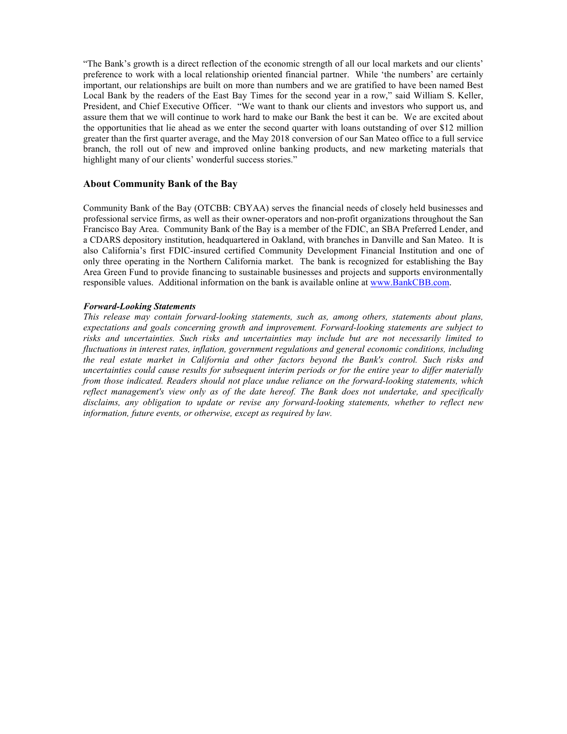"The Bank's growth is a direct reflection of the economic strength of all our local markets and our clients' preference to work with a local relationship oriented financial partner. While 'the numbers' are certainly important, our relationships are built on more than numbers and we are gratified to have been named Best Local Bank by the readers of the East Bay Times for the second year in a row," said William S. Keller, President, and Chief Executive Officer. "We want to thank our clients and investors who support us, and assure them that we will continue to work hard to make our Bank the best it can be. We are excited about the opportunities that lie ahead as we enter the second quarter with loans outstanding of over \$12 million greater than the first quarter average, and the May 2018 conversion of our San Mateo office to a full service branch, the roll out of new and improved online banking products, and new marketing materials that highlight many of our clients' wonderful success stories."

## **About Community Bank of the Bay**

Community Bank of the Bay (OTCBB: CBYAA) serves the financial needs of closely held businesses and professional service firms, as well as their owner-operators and non-profit organizations throughout the San Francisco Bay Area. Community Bank of the Bay is a member of the FDIC, an SBA Preferred Lender, and a CDARS depository institution, headquartered in Oakland, with branches in Danville and San Mateo. It is also California's first FDIC-insured certified Community Development Financial Institution and one of only three operating in the Northern California market. The bank is recognized for establishing the Bay Area Green Fund to provide financing to sustainable businesses and projects and supports environmentally responsible values. Additional information on the bank is available online at www.BankCBB.com.

## *Forward-Looking Statements*

*This release may contain forward-looking statements, such as, among others, statements about plans, expectations and goals concerning growth and improvement. Forward-looking statements are subject to risks and uncertainties. Such risks and uncertainties may include but are not necessarily limited to fluctuations in interest rates, inflation, government regulations and general economic conditions, including the real estate market in California and other factors beyond the Bank's control. Such risks and uncertainties could cause results for subsequent interim periods or for the entire year to differ materially from those indicated. Readers should not place undue reliance on the forward-looking statements, which reflect management's view only as of the date hereof. The Bank does not undertake, and specifically disclaims, any obligation to update or revise any forward-looking statements, whether to reflect new information, future events, or otherwise, except as required by law.*